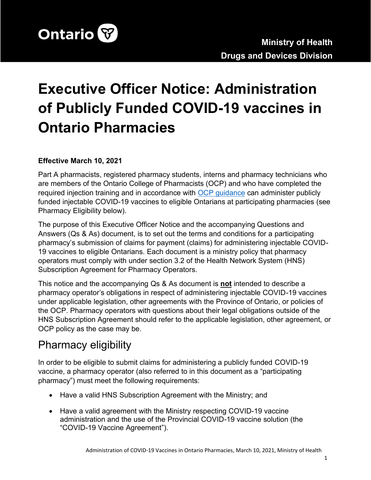

# **Executive Officer Notice: Administration of Publicly Funded COVID-19 vaccines in Ontario Pharmacies**

#### **Effective March 10, 2021**

Part A pharmacists, registered pharmacy students, interns and pharmacy technicians who are members of the Ontario College of Pharmacists (OCP) and who have completed the required injection training and in accordance with [OCP guidance](https://www.ocpinfo.com/regulations-standards/practice-policies-guidelines/administration-of-covid-19-vaccine-by-pharmacy-professionals/) can administer publicly funded injectable COVID-19 vaccines to eligible Ontarians at participating pharmacies (see Pharmacy Eligibility below).

The purpose of this Executive Officer Notice and the accompanying Questions and Answers (Qs & As) document, is to set out the terms and conditions for a participating pharmacy's submission of claims for payment (claims) for administering injectable COVID-19 vaccines to eligible Ontarians. Each document is a ministry policy that pharmacy operators must comply with under section 3.2 of the Health Network System (HNS) Subscription Agreement for Pharmacy Operators.

This notice and the accompanying Qs & As document is **not** intended to describe a pharmacy operator's obligations in respect of administering injectable COVID-19 vaccines under applicable legislation, other agreements with the Province of Ontario, or policies of the OCP. Pharmacy operators with questions about their legal obligations outside of the HNS Subscription Agreement should refer to the applicable legislation, other agreement, or OCP policy as the case may be.

# Pharmacy eligibility

In order to be eligible to submit claims for administering a publicly funded COVID-19 vaccine, a pharmacy operator (also referred to in this document as a "participating pharmacy") must meet the following requirements:

- Have a valid HNS Subscription Agreement with the Ministry; and
- Have a valid agreement with the Ministry respecting COVID-19 vaccine administration and the use of the Provincial COVID-19 vaccine solution (the "COVID-19 Vaccine Agreement").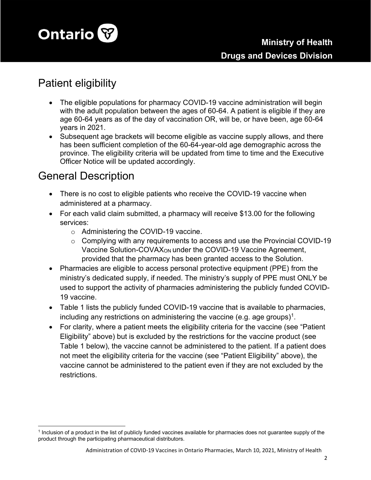

# Patient eligibility

- The eligible populations for pharmacy COVID-19 vaccine administration will begin with the adult population between the ages of 60-64. A patient is eligible if they are age 60-64 years as of the day of vaccination OR, will be, or have been, age 60-64 years in 2021.
- Subsequent age brackets will become eligible as vaccine supply allows, and there has been sufficient completion of the 60-64-year-old age demographic across the province. The eligibility criteria will be updated from time to time and the Executive Officer Notice will be updated accordingly.

## General Description

- There is no cost to eligible patients who receive the COVID-19 vaccine when administered at a pharmacy.
- For each valid claim submitted, a pharmacy will receive \$13.00 for the following services:
	- o Administering the COVID-19 vaccine.
	- o Complying with any requirements to access and use the Provincial COVID-19 Vaccine Solution-COVAXON under the COVID-19 Vaccine Agreement, provided that the pharmacy has been granted access to the Solution.
- Pharmacies are eligible to access personal protective equipment (PPE) from the ministry's dedicated supply, if needed. The ministry's supply of PPE must ONLY be used to support the activity of pharmacies administering the publicly funded COVID-19 vaccine.
- Table 1 lists the publicly funded COVID-19 vaccine that is available to pharmacies, including any restrictions on administering the vaccine (e.g. age groups) $^1$ .
- For clarity, where a patient meets the eligibility criteria for the vaccine (see "Patient Eligibility" above) but is excluded by the restrictions for the vaccine product (see Table 1 below), the vaccine cannot be administered to the patient. If a patient does not meet the eligibility criteria for the vaccine (see "Patient Eligibility" above), the vaccine cannot be administered to the patient even if they are not excluded by the restrictions.

<sup>1</sup> Inclusion of a product in the list of publicly funded vaccines available for pharmacies does not guarantee supply of the product through the participating pharmaceutical distributors.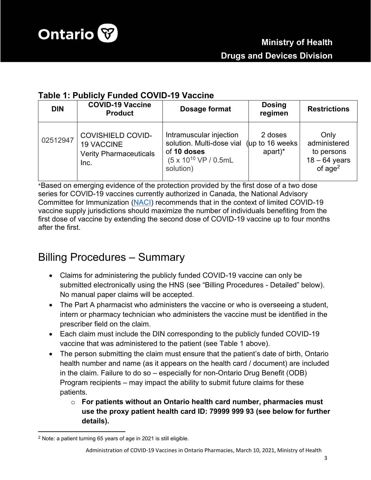

### **Table 1: Publicly Funded COVID-19 Vaccine**

| <b>DIN</b> | <b>COVID-19 Vaccine</b><br><b>Product</b>                                              | Dosage format                                                                                                                                        | <b>Dosing</b><br>regimen | <b>Restrictions</b>                                                |
|------------|----------------------------------------------------------------------------------------|------------------------------------------------------------------------------------------------------------------------------------------------------|--------------------------|--------------------------------------------------------------------|
| 02512947   | <b>COVISHIELD COVID-</b><br><b>19 VACCINE</b><br><b>Verity Pharmaceuticals</b><br>Inc. | Intramuscular injection<br>solution. Multi-dose vial (up to 16 weeks<br>of 10 doses<br>$(5 \times 10^{10} \text{ VP } / 0.5 \text{mL})$<br>solution) | 2 doses<br>apart)*       | Only<br>administered<br>to persons<br>$18 - 64$ years<br>of $age2$ |

\*Based on emerging evidence of the protection provided by the first dose of a two dose series for COVID-19 vaccines currently authorized in Canada, the National Advisory Committee for Immunization ([NACI](https://www.canada.ca/en/public-health/services/immunization/national-advisory-committee-on-immunization-naci/rapid-response-extended-dose-intervals-covid-19-vaccines-early-rollout-population-protection.html#a5)) recommends that in the context of limited COVID-19 vaccine supply jurisdictions should maximize the number of individuals benefiting from the first dose of vaccine by extending the second dose of COVID-19 vaccine up to four months after the first.

# Billing Procedures – Summary

- Claims for administering the publicly funded COVID-19 vaccine can only be submitted electronically using the HNS (see "Billing Procedures - Detailed" below). No manual paper claims will be accepted.
- The Part A pharmacist who administers the vaccine or who is overseeing a student, intern or pharmacy technician who administers the vaccine must be identified in the prescriber field on the claim.
- Each claim must include the DIN corresponding to the publicly funded COVID-19 vaccine that was administered to the patient (see Table 1 above).
- The person submitting the claim must ensure that the patient's date of birth, Ontario health number and name (as it appears on the health card / document) are included in the claim. Failure to do so – especially for non-Ontario Drug Benefit (ODB) Program recipients – may impact the ability to submit future claims for these patients.
	- o **For patients without an Ontario health card number, pharmacies must use the proxy patient health card ID: 79999 999 93 (see below for further details).**

<sup>2</sup> Note: a patient turning 65 years of age in 2021 is still eligible.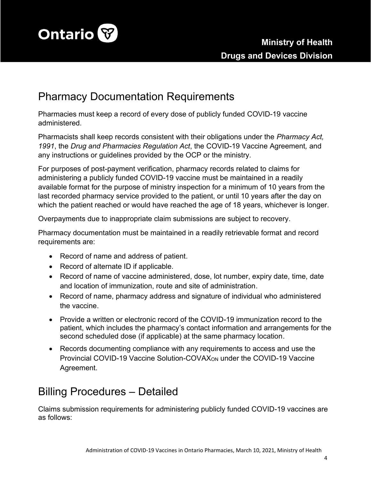

# Pharmacy Documentation Requirements

Pharmacies must keep a record of every dose of publicly funded COVID-19 vaccine administered.

Pharmacists shall keep records consistent with their obligations under the *Pharmacy Act, 1991*, the *Drug and Pharmacies Regulation Act*, the COVID-19 Vaccine Agreement*,* and any instructions or guidelines provided by the OCP or the ministry.

For purposes of post-payment verification, pharmacy records related to claims for administering a publicly funded COVID-19 vaccine must be maintained in a readily available format for the purpose of ministry inspection for a minimum of 10 years from the last recorded pharmacy service provided to the patient, or until 10 years after the day on which the patient reached or would have reached the age of 18 years, whichever is longer.

Overpayments due to inappropriate claim submissions are subject to recovery.

Pharmacy documentation must be maintained in a readily retrievable format and record requirements are:

- Record of name and address of patient.
- Record of alternate ID if applicable.
- Record of name of vaccine administered, dose, lot number, expiry date, time, date and location of immunization, route and site of administration.
- Record of name, pharmacy address and signature of individual who administered the vaccine.
- Provide a written or electronic record of the COVID-19 immunization record to the patient, which includes the pharmacy's contact information and arrangements for the second scheduled dose (if applicable) at the same pharmacy location.
- Records documenting compliance with any requirements to access and use the Provincial COVID-19 Vaccine Solution-COVAXON under the COVID-19 Vaccine Agreement.

# Billing Procedures – Detailed

Claims submission requirements for administering publicly funded COVID-19 vaccines are as follows: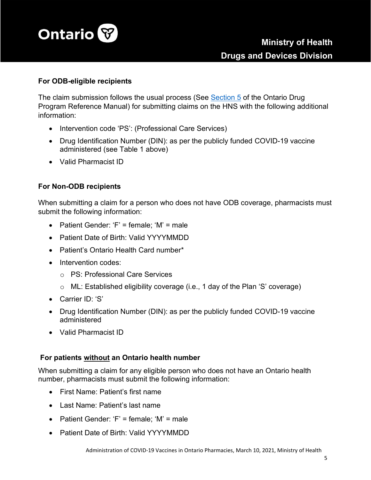

#### **For ODB-eligible recipients**

The claim submission follows the usual process (See [Section 5](http://www.health.gov.on.ca/en/pro/programs/drugs/resources/odp_reference_manual.pdf) of the Ontario Drug Program Reference Manual) for submitting claims on the HNS with the following additional information:

- Intervention code 'PS': (Professional Care Services)
- Drug Identification Number (DIN): as per the publicly funded COVID-19 vaccine administered (see Table 1 above)
- Valid Pharmacist ID

#### **For Non-ODB recipients**

When submitting a claim for a person who does not have ODB coverage, pharmacists must submit the following information:

- Patient Gender: 'F' = female; 'M' = male
- Patient Date of Birth: Valid YYYYMMDD
- Patient's Ontario Health Card number\*
- Intervention codes:
	- o PS: Professional Care Services
	- o ML: Established eligibility coverage (i.e., 1 day of the Plan 'S' coverage)
- Carrier ID: 'S'
- Drug Identification Number (DIN): as per the publicly funded COVID-19 vaccine administered
- Valid Pharmacist ID

#### **For patients without an Ontario health number**

When submitting a claim for any eligible person who does not have an Ontario health number, pharmacists must submit the following information:

- First Name: Patient's first name
- Last Name: Patient's last name
- Patient Gender: 'F' = female; 'M' = male
- Patient Date of Birth: Valid YYYYMMDD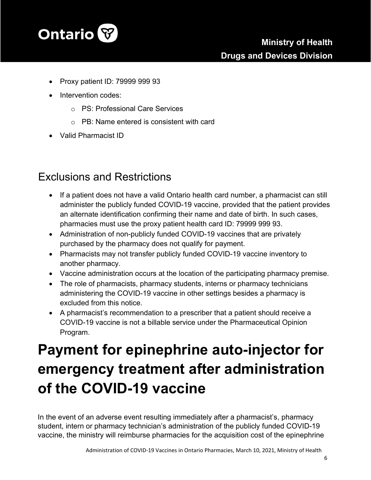

- Proxy patient ID: 79999 999 93
- Intervention codes:
	- o PS: Professional Care Services
	- $\circ$  PB: Name entered is consistent with card
- Valid Pharmacist ID

# Exclusions and Restrictions

- If a patient does not have a valid Ontario health card number, a pharmacist can still administer the publicly funded COVID-19 vaccine, provided that the patient provides an alternate identification confirming their name and date of birth. In such cases, pharmacies must use the proxy patient health card ID: 79999 999 93.
- Administration of non-publicly funded COVID-19 vaccines that are privately purchased by the pharmacy does not qualify for payment.
- Pharmacists may not transfer publicly funded COVID-19 vaccine inventory to another pharmacy.
- Vaccine administration occurs at the location of the participating pharmacy premise.
- The role of pharmacists, pharmacy students, interns or pharmacy technicians administering the COVID-19 vaccine in other settings besides a pharmacy is excluded from this notice.
- A pharmacist's recommendation to a prescriber that a patient should receive a COVID-19 vaccine is not a billable service under the Pharmaceutical Opinion Program.

# **Payment for epinephrine auto-injector for emergency treatment after administration of the COVID-19 vaccine**

In the event of an adverse event resulting immediately after a pharmacist's, pharmacy student, intern or pharmacy technician's administration of the publicly funded COVID-19 vaccine, the ministry will reimburse pharmacies for the acquisition cost of the epinephrine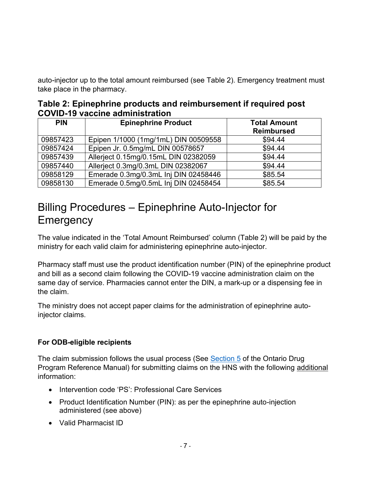auto-injector up to the total amount reimbursed (see Table 2). Emergency treatment must take place in the pharmacy.

| Table 2: Epinephrine products and reimbursement if required post |  |
|------------------------------------------------------------------|--|
| <b>COVID-19 vaccine administration</b>                           |  |

| <b>PIN</b> | <b>Epinephrine Product</b>           | <b>Total Amount</b><br><b>Reimbursed</b> |
|------------|--------------------------------------|------------------------------------------|
|            |                                      |                                          |
| 09857423   | Epipen 1/1000 (1mg/1mL) DIN 00509558 | \$94.44                                  |
| 09857424   | Epipen Jr. 0.5mg/mL DIN 00578657     | \$94.44                                  |
| 09857439   | Allerject 0.15mg/0.15mL DIN 02382059 | \$94.44                                  |
| 09857440   | Allerject 0.3mg/0.3mL DIN 02382067   | \$94.44                                  |
| 09858129   | Emerade 0.3mg/0.3mL Inj DIN 02458446 | \$85.54                                  |
| 09858130   | Emerade 0.5mg/0.5mL Inj DIN 02458454 | \$85.54                                  |

# Billing Procedures – Epinephrine Auto-Injector for **Emergency**

The value indicated in the 'Total Amount Reimbursed' column (Table 2) will be paid by the ministry for each valid claim for administering epinephrine auto-injector.

Pharmacy staff must use the product identification number (PIN) of the epinephrine product and bill as a second claim following the COVID-19 vaccine administration claim on the same day of service. Pharmacies cannot enter the DIN, a mark-up or a dispensing fee in the claim.

The ministry does not accept paper claims for the administration of epinephrine autoinjector claims.

### **For ODB-eligible recipients**

The claim submission follows the usual process (See [Section 5](http://www.health.gov.on.ca/en/pro/programs/drugs/resources/odp_reference_manual.pdf) of the Ontario Drug Program Reference Manual) for submitting claims on the HNS with the following additional information:

- Intervention code 'PS': Professional Care Services
- Product Identification Number (PIN): as per the epinephrine auto-injection administered (see above)
- Valid Pharmacist ID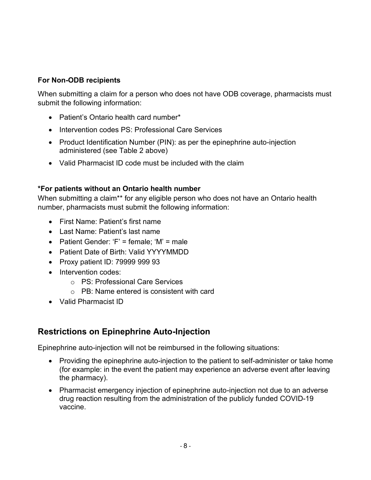### **For Non-ODB recipients**

When submitting a claim for a person who does not have ODB coverage, pharmacists must submit the following information:

- Patient's Ontario health card number\*
- Intervention codes PS: Professional Care Services
- Product Identification Number (PIN): as per the epinephrine auto-injection administered (see Table 2 above)
- Valid Pharmacist ID code must be included with the claim

#### **\*For patients without an Ontario health number**

When submitting a claim\*\* for any eligible person who does not have an Ontario health number, pharmacists must submit the following information:

- First Name: Patient's first name
- Last Name: Patient's last name
- Patient Gender: 'F' = female; 'M' = male
- Patient Date of Birth: Valid YYYYMMDD
- Proxy patient ID: 79999 999 93
- Intervention codes:
	- o PS: Professional Care Services
	- o PB: Name entered is consistent with card
- Valid Pharmacist ID

## **Restrictions on Epinephrine Auto-Injection**

Epinephrine auto-injection will not be reimbursed in the following situations:

- Providing the epinephrine auto-injection to the patient to self-administer or take home (for example: in the event the patient may experience an adverse event after leaving the pharmacy).
- Pharmacist emergency injection of epinephrine auto-injection not due to an adverse drug reaction resulting from the administration of the publicly funded COVID-19 vaccine.